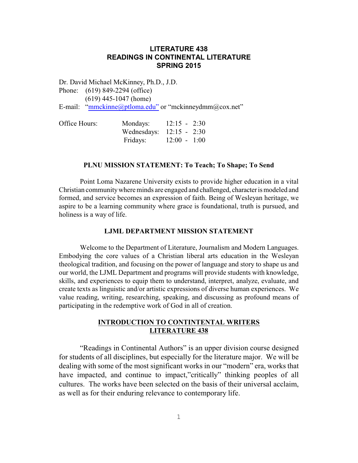## **LITERATURE 438 READINGS IN CONTINENTAL LITERATURE SPRING 2015**

Dr. David Michael McKinney, Ph.D., J.D.

Phone: (619) 849-2294 (office)

(619) 445-1047 (home)

E-mail: ["mmckinne@ptloma.edu"](mailto:mmckinne@ptloma.edu) or "mckinneydmm@cox.net"

| Office Hours: | Mondays:                   | $12:15 - 2:30$ |  |
|---------------|----------------------------|----------------|--|
|               | Wednesdays: $12:15 - 2:30$ |                |  |
|               | Fridays:                   | $12:00 - 1:00$ |  |

### **PLNU MISSION STATEMENT: To Teach; To Shape; To Send**

Point Loma Nazarene University exists to provide higher education in a vital Christian community where minds are engaged and challenged, character is modeled and formed, and service becomes an expression of faith. Being of Wesleyan heritage, we aspire to be a learning community where grace is foundational, truth is pursued, and holiness is a way of life.

## **LJML DEPARTMENT MISSION STATEMENT**

Welcome to the Department of Literature, Journalism and Modern Languages. Embodying the core values of a Christian liberal arts education in the Wesleyan theological tradition, and focusing on the power of language and story to shape us and our world, the LJML Department and programs will provide students with knowledge, skills, and experiences to equip them to understand, interpret, analyze, evaluate, and create texts as linguistic and/or artistic expressions of diverse human experiences. We value reading, writing, researching, speaking, and discussing as profound means of participating in the redemptive work of God in all of creation.

## **INTRODUCTION TO CONTINTENTAL WRITERS LITERATURE 438**

"Readings in Continental Authors" is an upper division course designed for students of all disciplines, but especially for the literature major. We will be dealing with some of the most significant works in our "modern" era, works that have impacted, and continue to impact,"critically" thinking peoples of all cultures. The works have been selected on the basis of their universal acclaim, as well as for their enduring relevance to contemporary life.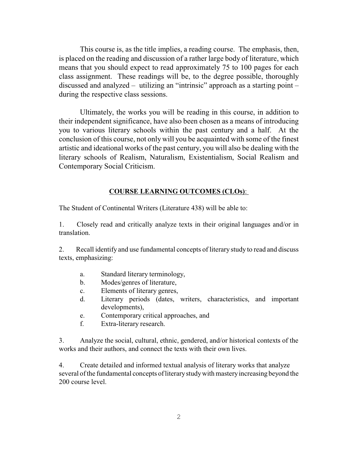This course is, as the title implies, a reading course. The emphasis, then, is placed on the reading and discussion of a rather large body of literature, which means that you should expect to read approximately 75 to 100 pages for each class assignment. These readings will be, to the degree possible, thoroughly discussed and analyzed – utilizing an "intrinsic" approach as a starting point – during the respective class sessions.

Ultimately, the works you will be reading in this course, in addition to their independent significance, have also been chosen as a means of introducing you to various literary schools within the past century and a half. At the conclusion of this course, not only will you be acquainted with some of the finest artistic and ideational works of the past century, you will also be dealing with the literary schools of Realism, Naturalism, Existentialism, Social Realism and Contemporary Social Criticism.

### **COURSE LEARNING OUTCOMES (CLOs)**:

The Student of Continental Writers (Literature 438) will be able to:

1. Closely read and critically analyze texts in their original languages and/or in translation.

2. Recall identify and use fundamental concepts of literary study to read and discuss texts, emphasizing:

- a. Standard literary terminology,
- b. Modes/genres of literature,
- c. Elements of literary genres,
- d. Literary periods (dates, writers, characteristics, and important developments),
- e. Contemporary critical approaches, and
- f. Extra-literary research.

3. Analyze the social, cultural, ethnic, gendered, and/or historical contexts of the works and their authors, and connect the texts with their own lives.

4. Create detailed and informed textual analysis of literary works that analyze several of the fundamental concepts of literarystudywith masteryincreasing beyond the 200 course level.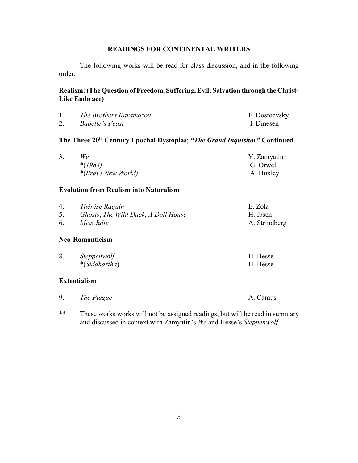## **READINGS FOR CONTINENTAL WRITERS**

The following works will be read for class discussion, and in the following order:

## Realism: (The Question of Freedom, Suffering, Evil; Salvation through the Christ-**Like Embrace)**

| The Brothers Karamazov | F. Dostoevsky |
|------------------------|---------------|
| <i>Babette's Feast</i> | I. Dinesen    |

# **The Three 20th Century Epochal Dystopias**; *"The Grand Inquisitor"* **Continued**

| We                                  | Y. Zamyatin |
|-------------------------------------|-------------|
| $*(1984)$                           | G. Orwell   |
| <i>*</i> ( <i>Brave New World</i> ) | A. Huxley   |

### **Evolution from Realism into Naturalism**

| $\overline{4}$ | Thérése Raquin                      | E. Zola       |
|----------------|-------------------------------------|---------------|
|                | Ghosts, The Wild Duck, A Doll House | H. Ibsen      |
| 6.             | Miss Julie                          | A. Strindberg |

### **Neo-Romanticism**

| <i>Steppenwolf</i> | H. Hesse |
|--------------------|----------|
| $*(Siddhartha)$    | H. Hesse |

## **Extentialism**

| The Plague | A. Camus |
|------------|----------|
|------------|----------|

\*\* These works works will not be assigned readings, but will be read in summary and discussed in context with Zamyatin's *We* and Hesse's *Steppenwolf.*